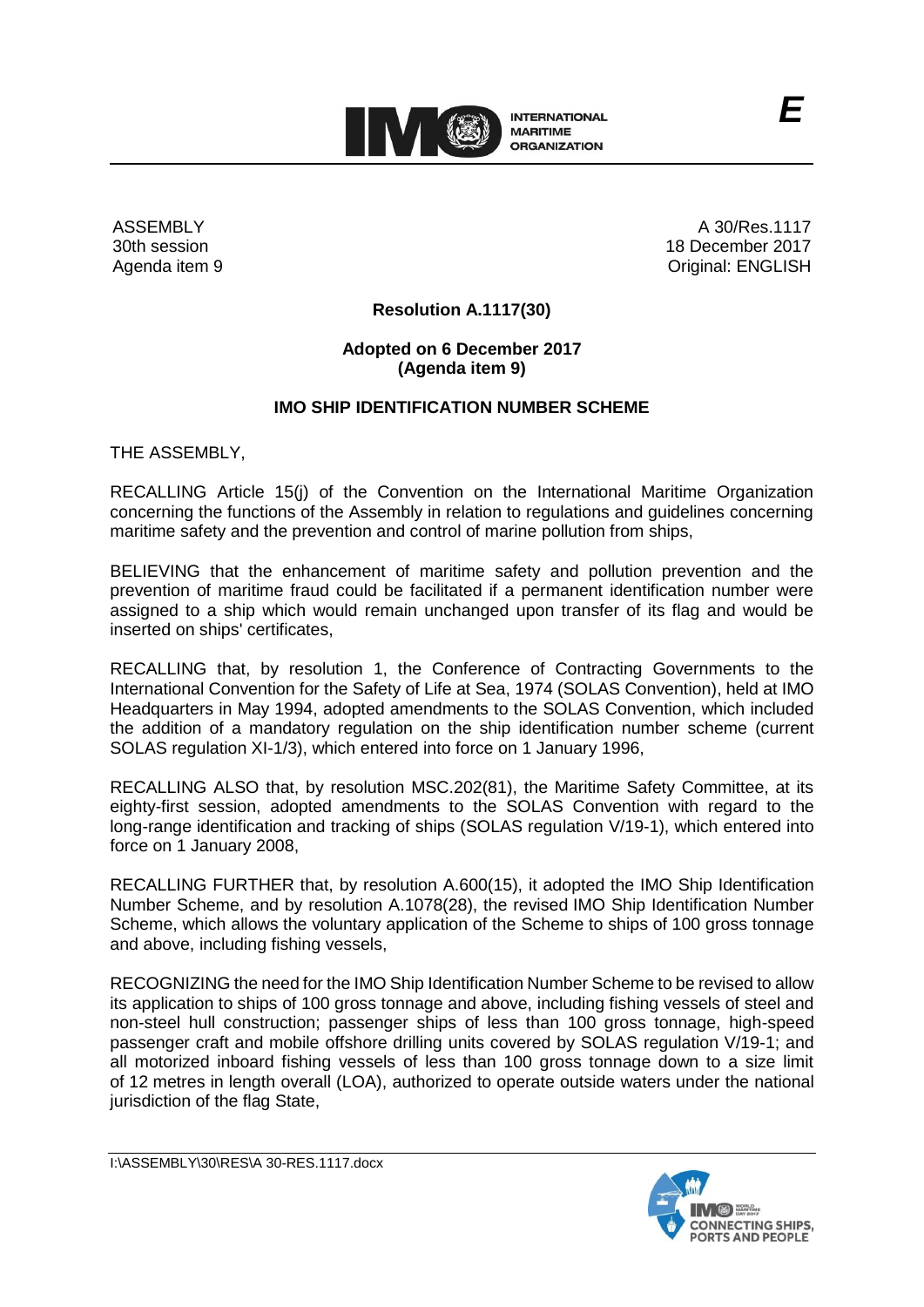

ASSEMBLY 30th session Agenda item 9

A 30/Res.1117 18 December 2017 Original: ENGLISH

# **Resolution A.1117(30)**

# **Adopted on 6 December 2017 (Agenda item 9)**

# **IMO SHIP IDENTIFICATION NUMBER SCHEME**

THE ASSEMBLY,

RECALLING Article 15(j) of the Convention on the International Maritime Organization concerning the functions of the Assembly in relation to regulations and guidelines concerning maritime safety and the prevention and control of marine pollution from ships,

BELIEVING that the enhancement of maritime safety and pollution prevention and the prevention of maritime fraud could be facilitated if a permanent identification number were assigned to a ship which would remain unchanged upon transfer of its flag and would be inserted on ships' certificates,

RECALLING that, by resolution 1, the Conference of Contracting Governments to the International Convention for the Safety of Life at Sea, 1974 (SOLAS Convention), held at IMO Headquarters in May 1994, adopted amendments to the SOLAS Convention, which included the addition of a mandatory regulation on the ship identification number scheme (current SOLAS regulation XI-1/3), which entered into force on 1 January 1996,

RECALLING ALSO that, by resolution MSC.202(81), the Maritime Safety Committee, at its eighty-first session, adopted amendments to the SOLAS Convention with regard to the long-range identification and tracking of ships (SOLAS regulation V/19-1), which entered into force on 1 January 2008,

RECALLING FURTHER that, by resolution A.600(15), it adopted the IMO Ship Identification Number Scheme, and by resolution A.1078(28), the revised IMO Ship Identification Number Scheme, which allows the voluntary application of the Scheme to ships of 100 gross tonnage and above, including fishing vessels,

RECOGNIZING the need for the IMO Ship Identification Number Scheme to be revised to allow its application to ships of 100 gross tonnage and above, including fishing vessels of steel and non-steel hull construction; passenger ships of less than 100 gross tonnage, high-speed passenger craft and mobile offshore drilling units covered by SOLAS regulation V/19-1; and all motorized inboard fishing vessels of less than 100 gross tonnage down to a size limit of 12 metres in length overall (LOA), authorized to operate outside waters under the national jurisdiction of the flag State,

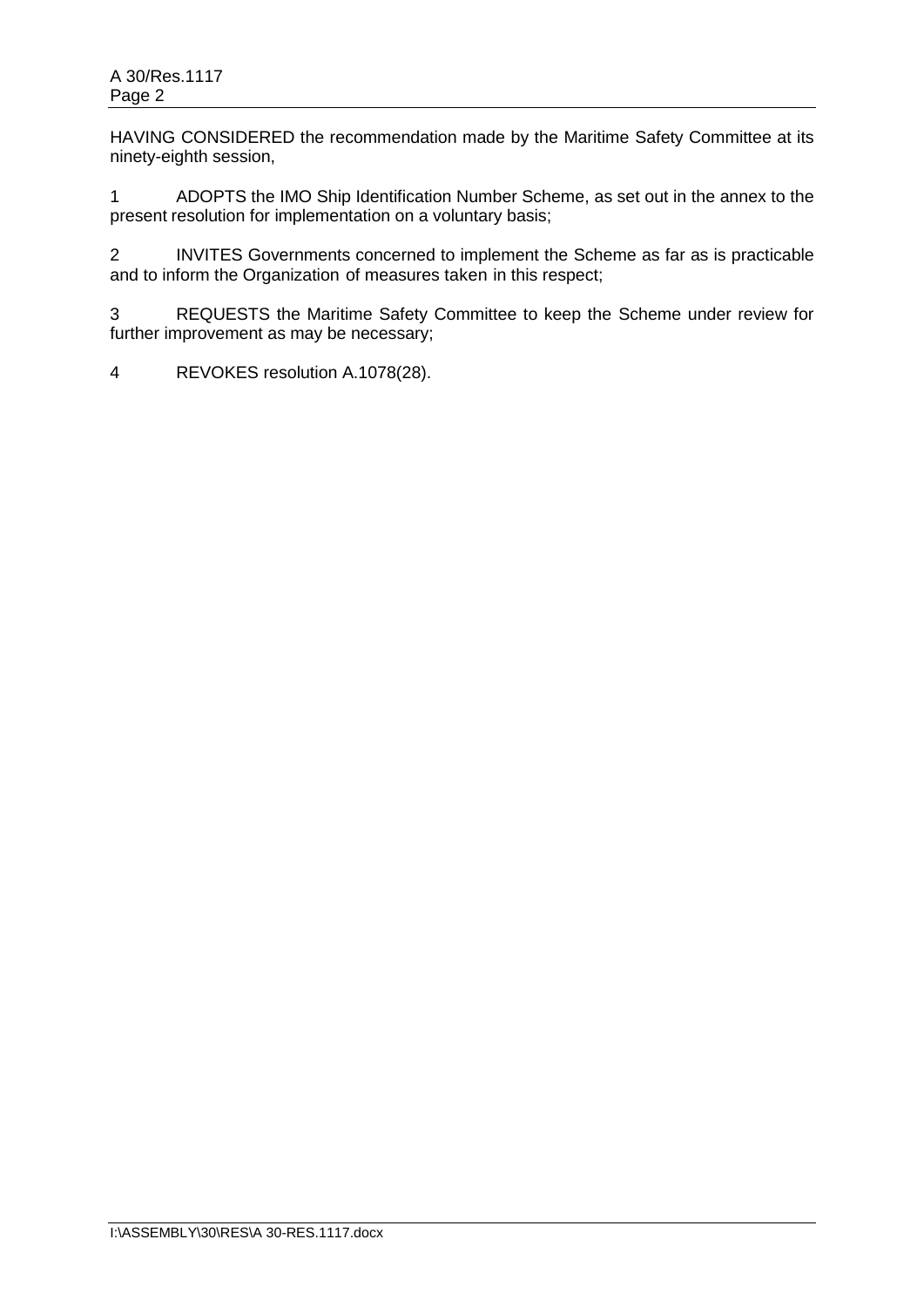HAVING CONSIDERED the recommendation made by the Maritime Safety Committee at its ninety-eighth session,

1 ADOPTS the IMO Ship Identification Number Scheme, as set out in the annex to the present resolution for implementation on a voluntary basis;

2 INVITES Governments concerned to implement the Scheme as far as is practicable and to inform the Organization of measures taken in this respect;

3 REQUESTS the Maritime Safety Committee to keep the Scheme under review for further improvement as may be necessary;

4 REVOKES resolution A.1078(28).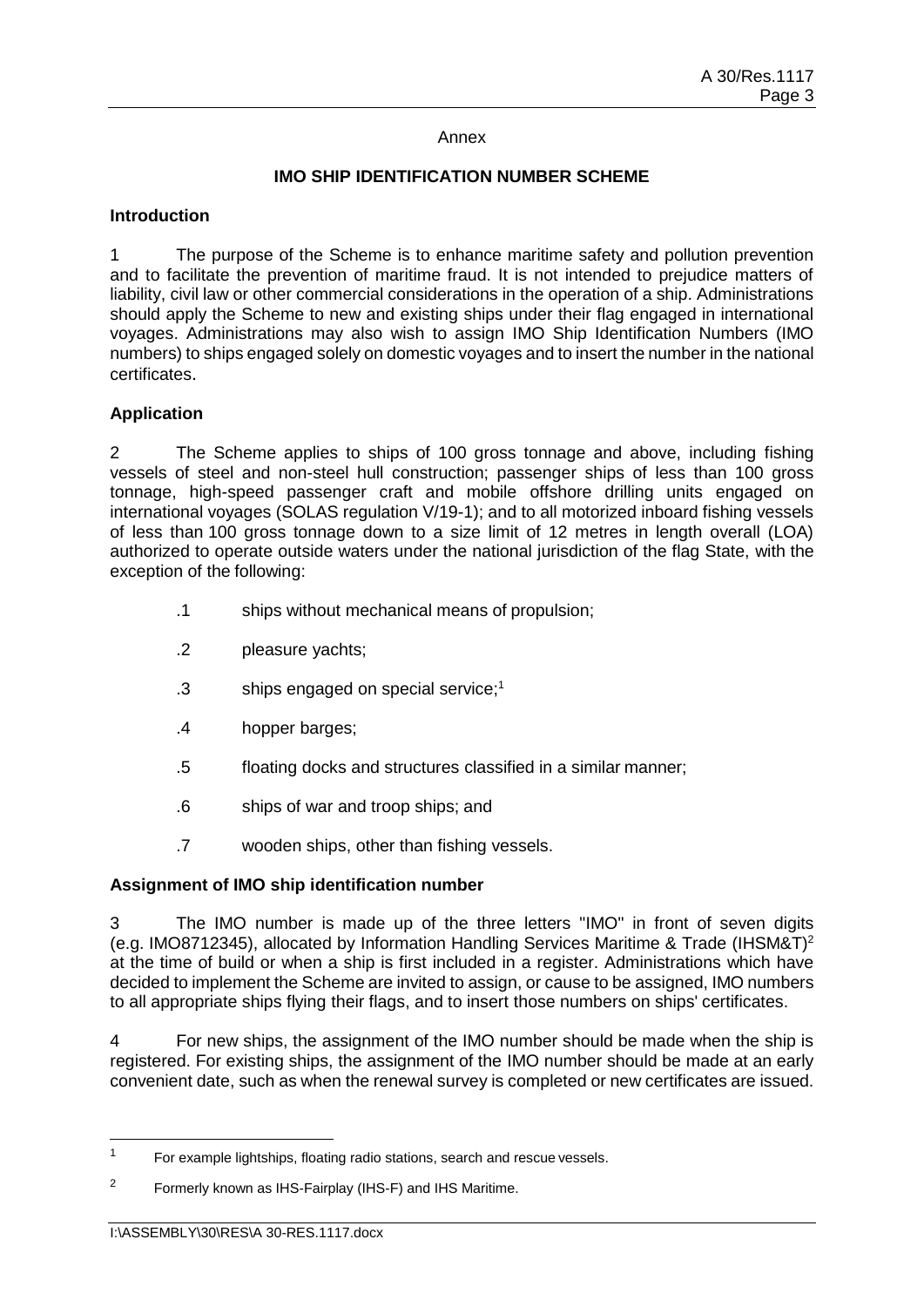#### Annex

# **IMO SHIP IDENTIFICATION NUMBER SCHEME**

#### **Introduction**

1 The purpose of the Scheme is to enhance maritime safety and pollution prevention and to facilitate the prevention of maritime fraud. It is not intended to prejudice matters of liability, civil law or other commercial considerations in the operation of a ship. Administrations should apply the Scheme to new and existing ships under their flag engaged in international voyages. Administrations may also wish to assign IMO Ship Identification Numbers (IMO numbers) to ships engaged solely on domestic voyages and to insert the number in the national certificates.

# **Application**

2 The Scheme applies to ships of 100 gross tonnage and above, including fishing vessels of steel and non-steel hull construction; passenger ships of less than 100 gross tonnage, high-speed passenger craft and mobile offshore drilling units engaged on international voyages (SOLAS regulation V/19-1); and to all motorized inboard fishing vessels of less than 100 gross tonnage down to a size limit of 12 metres in length overall (LOA) authorized to operate outside waters under the national jurisdiction of the flag State, with the exception of the following:

- .1 ships without mechanical means of propulsion;
- .2 pleasure yachts;
- .3 ships engaged on special service; 1
- .4 hopper barges;
- .5 floating docks and structures classified in a similar manner;
- .6 ships of war and troop ships; and
- .7 wooden ships, other than fishing vessels.

# **Assignment of IMO ship identification number**

3 The IMO number is made up of the three letters "IMO" in front of seven digits (e.g. IMO8712345), allocated by Information Handling Services Maritime & Trade (IHSM&T)<sup>2</sup> at the time of build or when a ship is first included in a register. Administrations which have decided to implement the Scheme are invited to assign, or cause to be assigned, IMO numbers to all appropriate ships flying their flags, and to insert those numbers on ships' certificates.

4 For new ships, the assignment of the IMO number should be made when the ship is registered. For existing ships, the assignment of the IMO number should be made at an early convenient date, such as when the renewal survey is completed or new certificates are issued.

 $\overline{a}$ 

<sup>&</sup>lt;sup>1</sup> For example lightships, floating radio stations, search and rescue vessels.

<sup>2</sup> Formerly known as IHS-Fairplay (IHS-F) and IHS Maritime.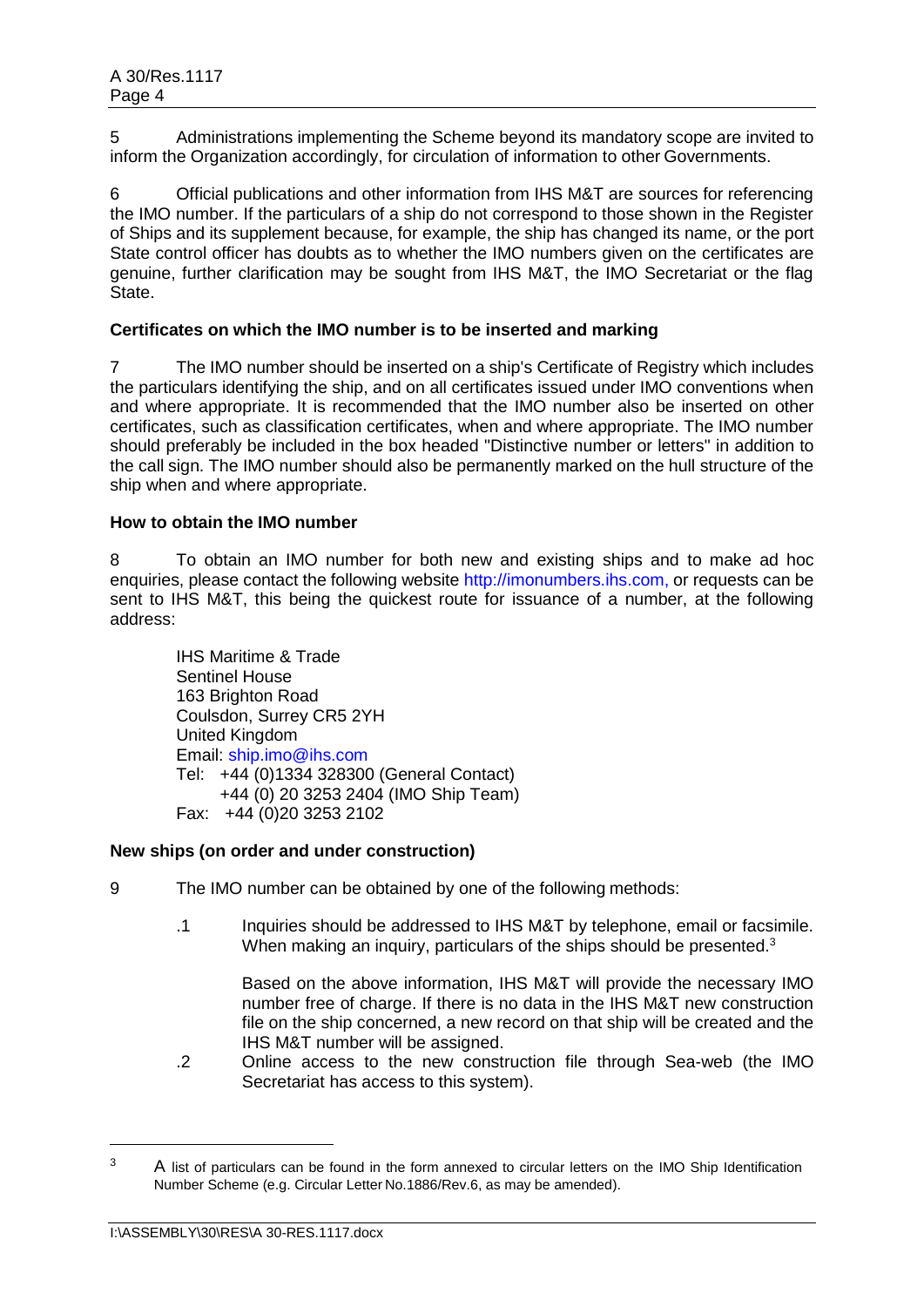5 Administrations implementing the Scheme beyond its mandatory scope are invited to inform the Organization accordingly, for circulation of information to other Governments.

6 Official publications and other information from IHS M&T are sources for referencing the IMO number. If the particulars of a ship do not correspond to those shown in the Register of Ships and its supplement because, for example, the ship has changed its name, or the port State control officer has doubts as to whether the IMO numbers given on the certificates are genuine, further clarification may be sought from IHS M&T, the IMO Secretariat or the flag State.

# **Certificates on which the IMO number is to be inserted and marking**

7 The IMO number should be inserted on a ship's Certificate of Registry which includes the particulars identifying the ship, and on all certificates issued under IMO conventions when and where appropriate. It is recommended that the IMO number also be inserted on other certificates, such as classification certificates, when and where appropriate. The IMO number should preferably be included in the box headed "Distinctive number or letters" in addition to the call sign. The IMO number should also be permanently marked on the hull structure of the ship when and where appropriate.

#### **How to obtain the IMO number**

8 To obtain an IMO number for both new and existing ships and to make ad hoc enquiries, please contact the following website http://imonumbers.ihs.com, or requests can be sent to IHS M&T, this being the quickest route for issuance of a number, at the following address:

IHS Maritime & Trade Sentinel House 163 Brighton Road Coulsdon, Surrey CR5 2YH United Kingdom Email: ship.imo@ihs.com Tel: +44 (0)1334 328300 (General Contact) +44 (0) 20 3253 2404 (IMO Ship Team) Fax: +44 (0)20 3253 2102

#### **New ships (on order and under construction)**

- 9 The IMO number can be obtained by one of the following methods:
	- .1 Inquiries should be addressed to IHS M&T by telephone, email or facsimile. When making an inquiry, particulars of the ships should be presented.<sup>3</sup>

Based on the above information, IHS M&T will provide the necessary IMO number free of charge. If there is no data in the IHS M&T new construction file on the ship concerned, a new record on that ship will be created and the IHS M&T number will be assigned.

.2 Online access to the new construction file through Sea-web (the IMO Secretariat has access to this system).

 $\overline{a}$ 

<sup>&</sup>lt;sup>3</sup> A list of particulars can be found in the form annexed to circular letters on the IMO Ship Identification Number Scheme (e.g. Circular Letter No.1886/Rev.6, as may be amended).